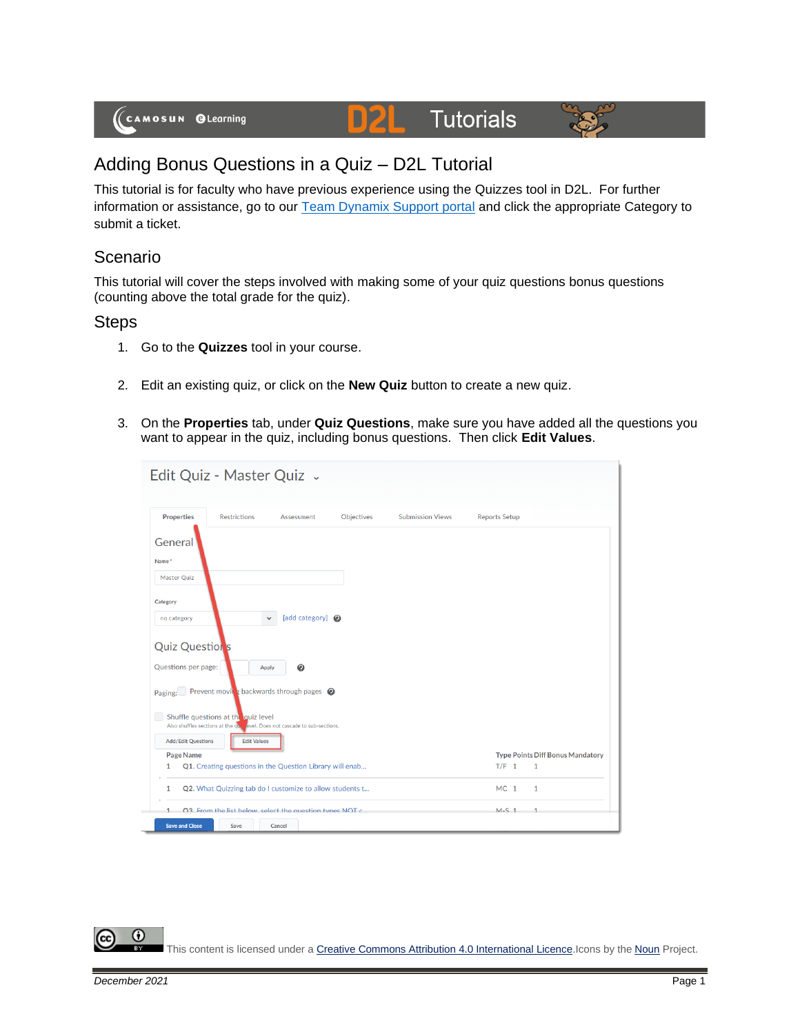

# **Tutorials**



# Adding Bonus Questions in a Quiz – D2L Tutorial

This tutorial is for faculty who have previous experience using the Quizzes tool in D2L. For further information or assistance, go to our [Team Dynamix Support portal](https://camosun.teamdynamix.com/TDClient/67/Portal/Requests/ServiceCatalog?CategoryID=523) and click the appropriate Category to submit a ticket.

D

## Scenario

This tutorial will cover the steps involved with making some of your quiz questions bonus questions (counting above the total grade for the quiz).

### **Steps**

- 1. Go to the **Quizzes** tool in your course.
- 2. Edit an existing quiz, or click on the **New Quiz** button to create a new quiz.
- 3. On the **Properties** tab, under **Quiz Questions**, make sure you have added all the questions you want to appear in the quiz, including bonus questions. Then click **Edit Values**.

| Edit Quiz - Master Quiz .                                                                                         |                                                                            |            |                         |                      |              |
|-------------------------------------------------------------------------------------------------------------------|----------------------------------------------------------------------------|------------|-------------------------|----------------------|--------------|
| <b>Properties</b><br><b>Restrictions</b>                                                                          | Assessment                                                                 | Objectives | <b>Submission Views</b> | <b>Reports Setup</b> |              |
| General<br>Name*<br>Master Ouiz                                                                                   |                                                                            |            |                         |                      |              |
| Category<br>no category                                                                                           | [add category] @<br>$\checkmark$                                           |            |                         |                      |              |
| <b>Quiz Questions</b><br>Questions per page:<br>Paging:                                                           | $\boldsymbol{\Theta}$<br>Apply<br>Prevent moving backwards through pages @ |            |                         |                      |              |
| Shuffle questions at the quiz level<br>Also shuffles sections at the quellevel. Does not cascade to sub-sections. |                                                                            |            |                         |                      |              |
| <b>Add/Edit Questions</b>                                                                                         | <b>Edit Values</b>                                                         |            |                         |                      |              |
| Page Name                                                                                                         | <b>Type Points Diff Bonus Mandatory</b>                                    |            |                         |                      |              |
| 1                                                                                                                 | Q1. Creating questions in the Question Library will enab                   |            |                         | $T/F$ 1              | $\mathbf{1}$ |
| 1                                                                                                                 | Q2. What Quizzing tab do I customize to allow students t                   |            |                         | MC <sub>1</sub>      | $\mathbf{1}$ |
| 1                                                                                                                 | 03. From the list helow select the question types NOT c.                   |            |                         | $M-S$ 1              | $\mathbf{1}$ |
| <b>Save and Close</b><br>Save                                                                                     | Cancel                                                                     |            |                         |                      |              |

⋒ This content is licensed under [a Creative Commons Attribution 4.0 International Licence.I](https://creativecommons.org/licenses/by/4.0/)cons by the [Noun](https://creativecommons.org/website-icons/) Project.